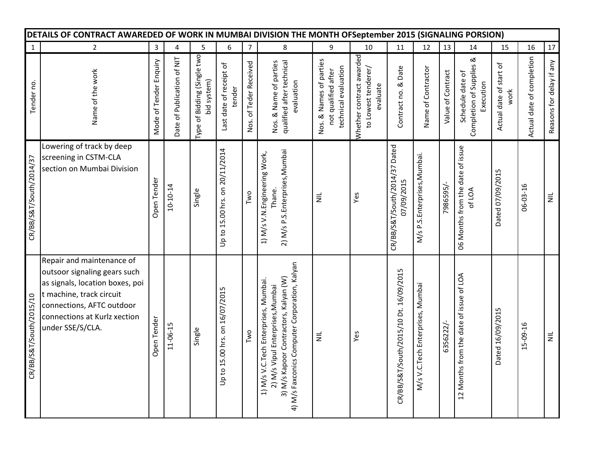| DETAILS OF CONTRACT AWAREDED OF WORK IN MUMBAI DIVISION THE MONTH OFSeptember 2015 (SIGNALING PORSION) |                                                                                                                                                                                                           |                        |                            |                                            |                                   |                        |                                                                                                                                                                    |                                                                        |                                                             |                                             |                                  |                   |                                                              |                                 |                           |                          |
|--------------------------------------------------------------------------------------------------------|-----------------------------------------------------------------------------------------------------------------------------------------------------------------------------------------------------------|------------------------|----------------------------|--------------------------------------------|-----------------------------------|------------------------|--------------------------------------------------------------------------------------------------------------------------------------------------------------------|------------------------------------------------------------------------|-------------------------------------------------------------|---------------------------------------------|----------------------------------|-------------------|--------------------------------------------------------------|---------------------------------|---------------------------|--------------------------|
| $\mathbf 1$                                                                                            | $\overline{2}$                                                                                                                                                                                            | $\mathsf 3$            | 4                          | 5                                          | 6                                 | $\overline{7}$         | 8                                                                                                                                                                  | 9                                                                      | 10                                                          | 11                                          | 12                               | 13                | 14                                                           | 15                              | 16                        | $17\,$                   |
| Tender no.                                                                                             | Name of the work                                                                                                                                                                                          | Mode of Tender Enquiry | Date of Publication of NIT | Type of Bidding (Single two<br>bid system) | Last date of receipt of<br>tender | Nos. of Teder Received | qualified after technical<br>Nos. & Name of parties<br>evaluation                                                                                                  | Nos. & Names of parties<br>technical evaluation<br>not qualified after | Whether contract awarded<br>to Lowest tenderer/<br>evaluate | Contract no. & Date                         | Name of Contractor               | Value of Contract | જ<br>Completion of Supplies<br>Schedule date of<br>Execution | Actual date of start of<br>work | Actual date of completion | Reasons for delay if any |
| CR/BB/S&T/South/2014/37                                                                                | Lowering of track by deep<br>screening in CSTM-CLA<br>section on Mumbai Division                                                                                                                          | Open Tender            | $10 - 10 - 14$             | Single                                     | Up to 15.00 hrs. on 20/11/2014    | Two                    | 2) M/s P.S.Enterprises, Mumbai<br>1) M/s V.N.Engineering Work,<br>Thane.                                                                                           | $\equiv$                                                               | Yes                                                         | CR/BB/S&T/South/2014/37 Dated<br>07/09/2015 | M/s P.S.Enterprises, Mumbai.     | 7986595/-         | 06 Months from the date of issue<br>of LOA                   | Dated 07/09/2015                | 06-03-16                  | $\equiv$                 |
| CR/BB/S&T/South/2015/10                                                                                | Repair and maintenance of<br>outsoor signaling gears such<br>as signals, location boxes, poi<br>t machine, track circuit<br>connections, AFTC outdoor<br>connections at Kurlz xection<br>under SSE/S/CLA. | Open Tender            | 11-06-15                   | Single                                     | Up to 15.00 hrs. on 16/07/2015    | Two                    | 4) M/s Faxconics Computer Corporation, Kalyan<br>3) M/s Kapoor Contractors, Kalyan (W)<br>1) M/s V.C.Tech Enterprises, Mumbai.<br>2) M/s Vipul Enterprises, Mumbai | $\equiv$                                                               | Yes                                                         | CR/BB/S&T/South/2015/10 Dt. 16/09/2015      | M/s V.C.Tech Enterprises, Mumbai | 6356222/-         | 12 Months from the date of issue of LOA                      | Dated 16/09/2015                | 15-09-16                  | $\equiv$                 |